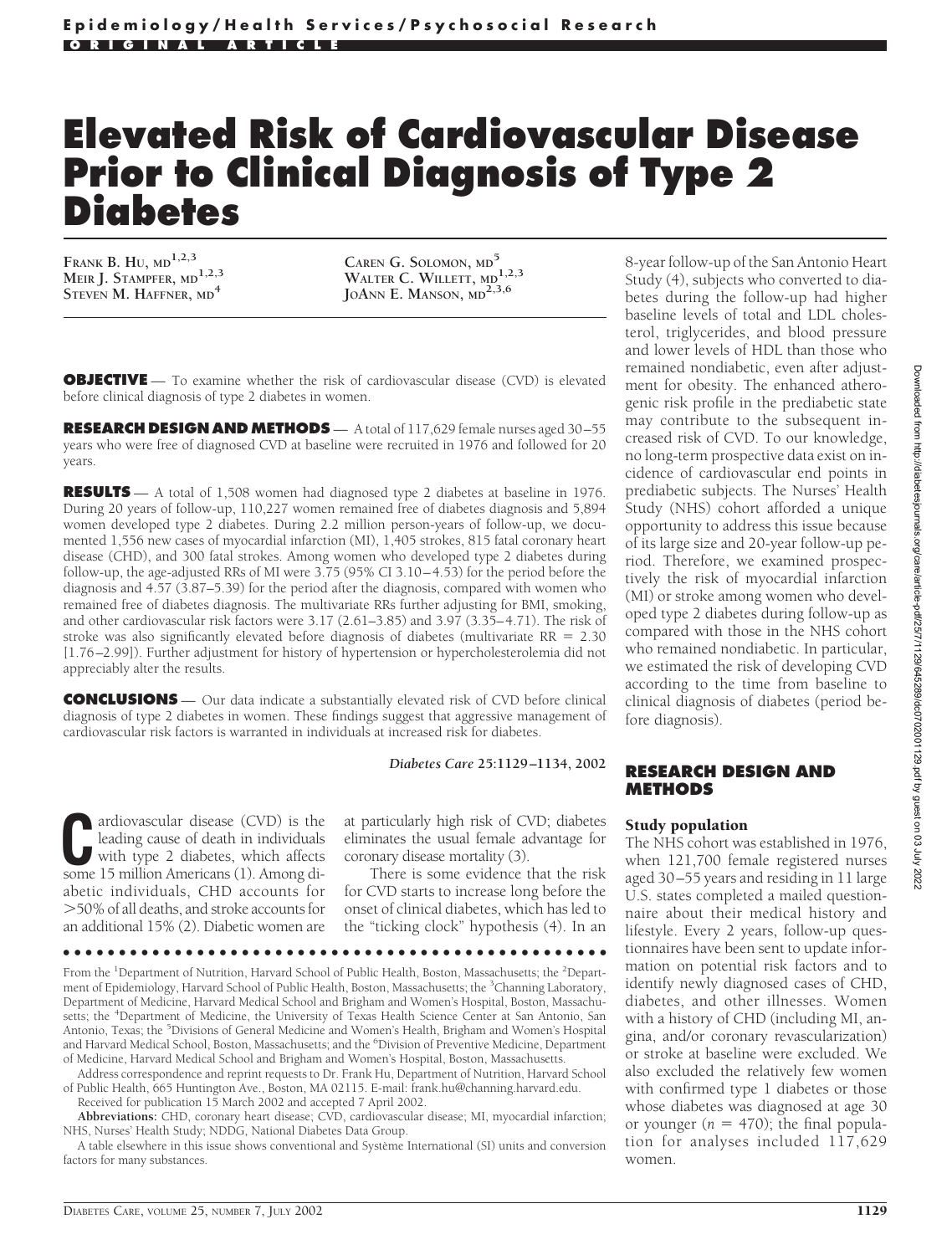# **Elevated Risk of Cardiovascular Disease Prior to Clinical Diagnosis of Type 2 Diabetes**

**FRANK B. HU, MD1,2,3 MEIR J. STAMPFER, MD1,2,3 STEVEN M. HAFFNER, MD<sup>4</sup>**

**CAREN G. SOLOMON, MD<sup>5</sup> WALTER C. WILLETT, MD1,2,3 JOANN E. MANSON, MD2,3,6**

**OBJECTIVE** — To examine whether the risk of cardiovascular disease (CVD) is elevated before clinical diagnosis of type 2 diabetes in women.

RESEARCH DESIGN AND METHODS  $- A$  total of 117,629 female nurses aged 30-55 years who were free of diagnosed CVD at baseline were recruited in 1976 and followed for 20 years.

**RESULTS** — A total of 1,508 women had diagnosed type 2 diabetes at baseline in 1976. During 20 years of follow-up, 110,227 women remained free of diabetes diagnosis and 5,894 women developed type 2 diabetes. During 2.2 million person-years of follow-up, we documented 1,556 new cases of myocardial infarction (MI), 1,405 strokes, 815 fatal coronary heart disease (CHD), and 300 fatal strokes. Among women who developed type 2 diabetes during follow-up, the age-adjusted RRs of MI were 3.75 (95% CI 3.10–4.53) for the period before the diagnosis and 4.57 (3.87–5.39) for the period after the diagnosis, compared with women who remained free of diabetes diagnosis. The multivariate RRs further adjusting for BMI, smoking, and other cardiovascular risk factors were 3.17 (2.61–3.85) and 3.97 (3.35–4.71). The risk of stroke was also significantly elevated before diagnosis of diabetes (multivariate  $RR = 2.30$ ) [1.76–2.99]). Further adjustment for history of hypertension or hypercholesterolemia did not appreciably alter the results.

**CONCLUSIONS** — Our data indicate a substantially elevated risk of CVD before clinical diagnosis of type 2 diabetes in women. These findings suggest that aggressive management of cardiovascular risk factors is warranted in individuals at increased risk for diabetes.

*Diabetes Care* **25:1129–1134, 2002**

**C**ardiovascular disease (CVD) is the leading cause of death in individuals with type 2 diabetes, which affects some 15 million Americans (1) Among dileading cause of death in individuals with type 2 diabetes, which affects some 15 million Americans (1). Among diabetic individuals, CHD accounts for -50% of all deaths, and stroke accounts for an additional 15% (2). Diabetic women are

at particularly high risk of CVD; diabetes eliminates the usual female advantage for coronary disease mortality (3).

There is some evidence that the risk for CVD starts to increase long before the onset of clinical diabetes, which has led to the "ticking clock" hypothesis (4). In an

●●●●●●●●●●●●●●●●●●●●●●●●●●●●●●●●●●●●●●●●●●●●●●●●●

From the <sup>1</sup>Department of Nutrition, Harvard School of Public Health, Boston, Massachusetts; the <sup>2</sup>Department of Epidemiology, Harvard School of Public Health, Boston, Massachusetts; the <sup>3</sup>Channing Laboratory, Department of Medicine, Harvard Medical School and Brigham and Women's Hospital, Boston, Massachusetts; the <sup>4</sup>Department of Medicine, the University of Texas Health Science Center at San Antonio, San Antonio, Texas; the <sup>5</sup>Divisions of General Medicine and Women's Health, Brigham and Women's Hospital and Harvard Medical School, Boston, Massachusetts; and the <sup>6</sup> Division of Preventive Medicine, Department of Medicine, Harvard Medical School and Brigham and Women's Hospital, Boston, Massachusetts.

Address correspondence and reprint requests to Dr. Frank Hu, Department of Nutrition, Harvard School of Public Health, 665 Huntington Ave., Boston, MA 02115. E-mail: frank.hu@channing.harvard.edu. Received for publication 15 March 2002 and accepted 7 April 2002.

**Abbreviations:** CHD, coronary heart disease; CVD, cardiovascular disease; MI, myocardial infarction; NHS, Nurses' Health Study; NDDG, National Diabetes Data Group.

A table elsewhere in this issue shows conventional and Système International (SI) units and conversion factors for many substances

8-year follow-up of the San Antonio Heart Study (4), subjects who converted to diabetes during the follow-up had higher baseline levels of total and LDL cholesterol, triglycerides, and blood pressure and lower levels of HDL than those who remained nondiabetic, even after adjustment for obesity. The enhanced atherogenic risk profile in the prediabetic state may contribute to the subsequent increased risk of CVD. To our knowledge, no long-term prospective data exist on incidence of cardiovascular end points in prediabetic subjects. The Nurses' Health Study (NHS) cohort afforded a unique opportunity to address this issue because of its large size and 20-year follow-up period. Therefore, we examined prospectively the risk of myocardial infarction (MI) or stroke among women who developed type 2 diabetes during follow-up as compared with those in the NHS cohort who remained nondiabetic. In particular, we estimated the risk of developing CVD according to the time from baseline to clinical diagnosis of diabetes (period before diagnosis).

#### **RESEARCH DESIGN AND METHODS**

#### Study population

The NHS cohort was established in 1976, when 121,700 female registered nurses aged 30–55 years and residing in 11 large U.S. states completed a mailed questionnaire about their medical history and lifestyle. Every 2 years, follow-up questionnaires have been sent to update information on potential risk factors and to identify newly diagnosed cases of CHD, diabetes, and other illnesses. Women with a history of CHD (including MI, angina, and/or coronary revascularization) or stroke at baseline were excluded. We also excluded the relatively few women with confirmed type 1 diabetes or those whose diabetes was diagnosed at age 30 or younger  $(n = 470)$ ; the final population for analyses included 117,629 women.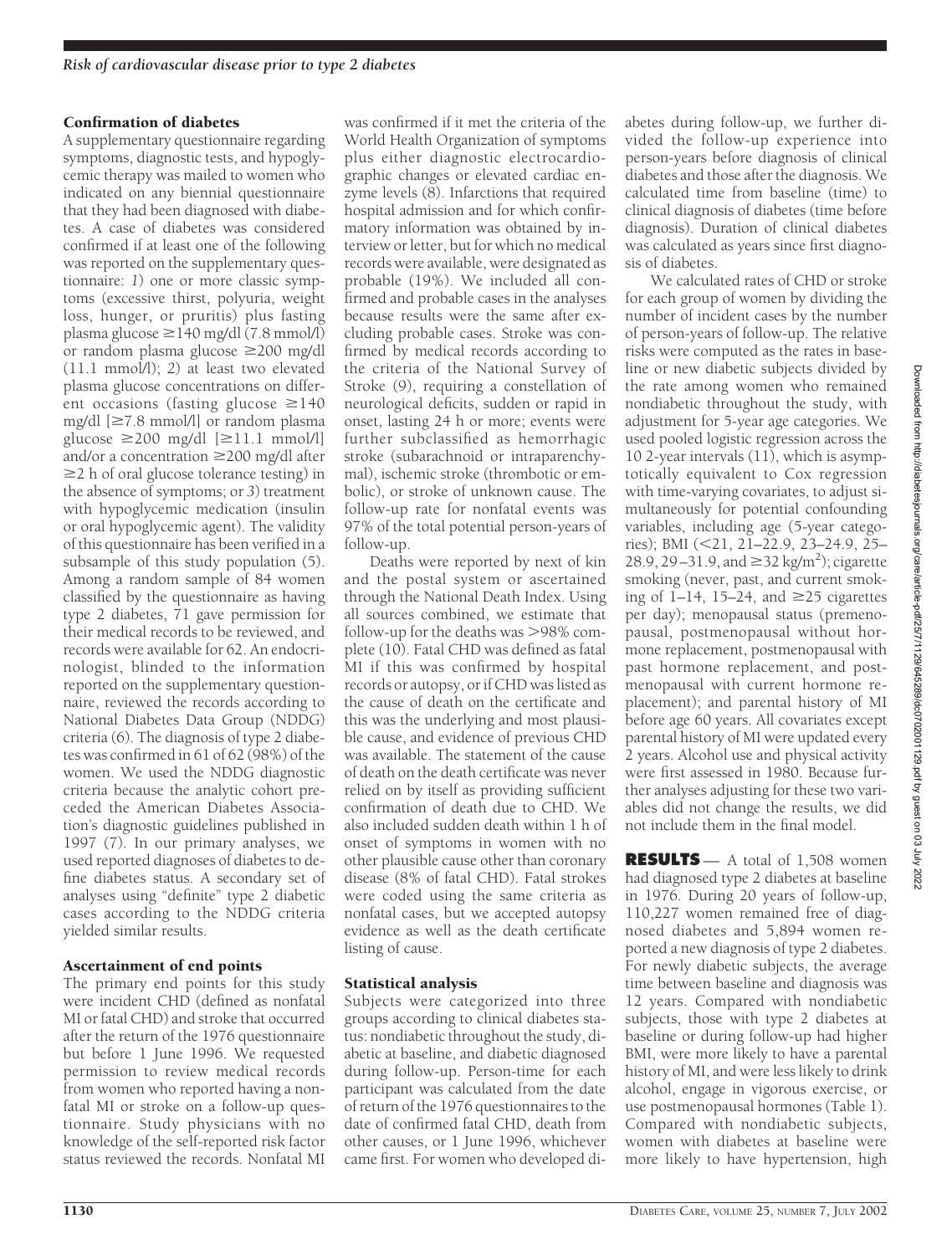#### Confirmation of diabetes

A supplementary questionnaire regarding symptoms, diagnostic tests, and hypoglycemic therapy was mailed to women who indicated on any biennial questionnaire that they had been diagnosed with diabetes. A case of diabetes was considered confirmed if at least one of the following was reported on the supplementary questionnaire: *1*) one or more classic symptoms (excessive thirst, polyuria, weight loss, hunger, or pruritis) plus fasting plasma glucose  $\geq$ 140 mg/dl (7.8 mmol/l) or random plasma glucose 200 mg/dl (11.1 mmol/l); *2*) at least two elevated plasma glucose concentrations on different occasions (fasting glucose  $\geq$ 140 mg/dl  $[\geq 7.8 \text{ mmol/l}]$  or random plasma glucose  $\geq$ 200 mg/dl  $[\geq 11.1 \text{ mmol/l}]$ and/or a concentration  $\geq$ 200 mg/dl after  $\geq$  h of oral glucose tolerance testing) in the absence of symptoms; or *3*) treatment with hypoglycemic medication (insulin or oral hypoglycemic agent). The validity of this questionnaire has been verified in a subsample of this study population (5). Among a random sample of 84 women classified by the questionnaire as having type 2 diabetes, 71 gave permission for their medical records to be reviewed, and records were available for 62. An endocrinologist, blinded to the information reported on the supplementary questionnaire, reviewed the records according to National Diabetes Data Group (NDDG) criteria (6). The diagnosis of type 2 diabetes was confirmed in 61 of 62 (98%) of the women. We used the NDDG diagnostic criteria because the analytic cohort preceded the American Diabetes Association's diagnostic guidelines published in 1997 (7). In our primary analyses, we used reported diagnoses of diabetes to define diabetes status. A secondary set of analyses using "definite" type 2 diabetic cases according to the NDDG criteria yielded similar results.

### Ascertainment of end points

The primary end points for this study were incident CHD (defined as nonfatal MI or fatal CHD) and stroke that occurred after the return of the 1976 questionnaire but before 1 June 1996. We requested permission to review medical records from women who reported having a nonfatal MI or stroke on a follow-up questionnaire. Study physicians with no knowledge of the self-reported risk factor status reviewed the records. Nonfatal MI

was confirmed if it met the criteria of the World Health Organization of symptoms plus either diagnostic electrocardiographic changes or elevated cardiac enzyme levels (8). Infarctions that required hospital admission and for which confirmatory information was obtained by interview or letter, but for which no medical records were available, were designated as probable (19%). We included all confirmed and probable cases in the analyses because results were the same after excluding probable cases. Stroke was confirmed by medical records according to the criteria of the National Survey of Stroke (9), requiring a constellation of neurological deficits, sudden or rapid in onset, lasting 24 h or more; events were further subclassified as hemorrhagic stroke (subarachnoid or intraparenchymal), ischemic stroke (thrombotic or embolic), or stroke of unknown cause. The follow-up rate for nonfatal events was 97% of the total potential person-years of follow-up.

Deaths were reported by next of kin and the postal system or ascertained through the National Death Index. Using all sources combined, we estimate that follow-up for the deaths was >98% complete (10). Fatal CHD was defined as fatal MI if this was confirmed by hospital records or autopsy, or if CHD was listed as the cause of death on the certificate and this was the underlying and most plausible cause, and evidence of previous CHD was available. The statement of the cause of death on the death certificate was never relied on by itself as providing sufficient confirmation of death due to CHD. We also included sudden death within 1 h of onset of symptoms in women with no other plausible cause other than coronary disease (8% of fatal CHD). Fatal strokes were coded using the same criteria as nonfatal cases, but we accepted autopsy evidence as well as the death certificate listing of cause.

### Statistical analysis

Subjects were categorized into three groups according to clinical diabetes status: nondiabetic throughout the study, diabetic at baseline, and diabetic diagnosed during follow-up. Person-time for each participant was calculated from the date of return of the 1976 questionnaires to the date of confirmed fatal CHD, death from other causes, or 1 June 1996, whichever came first. For women who developed di-

abetes during follow-up, we further divided the follow-up experience into person-years before diagnosis of clinical diabetes and those after the diagnosis. We calculated time from baseline (time) to clinical diagnosis of diabetes (time before diagnosis). Duration of clinical diabetes was calculated as years since first diagnosis of diabetes.

We calculated rates of CHD or stroke for each group of women by dividing the number of incident cases by the number of person-years of follow-up. The relative risks were computed as the rates in baseline or new diabetic subjects divided by the rate among women who remained nondiabetic throughout the study, with adjustment for 5-year age categories. We used pooled logistic regression across the 10 2-year intervals (11), which is asymptotically equivalent to Cox regression with time-varying covariates, to adjust simultaneously for potential confounding variables, including age (5-year categories); BMI (21, 21–22.9, 23–24.9, 25– 28.9, 29–31.9, and  $\geq$ 32 kg/m<sup>2</sup>); cigarette smoking (never, past, and current smoking of 1–14, 15–24, and  $\geq$ 25 cigarettes per day); menopausal status (premenopausal, postmenopausal without hormone replacement, postmenopausal with past hormone replacement, and postmenopausal with current hormone replacement); and parental history of MI before age 60 years. All covariates except parental history of MI were updated every 2 years. Alcohol use and physical activity were first assessed in 1980. Because further analyses adjusting for these two variables did not change the results, we did not include them in the final model.

**RESULTS** — A total of 1,508 women had diagnosed type 2 diabetes at baseline in 1976. During 20 years of follow-up, 110,227 women remained free of diagnosed diabetes and 5,894 women reported a new diagnosis of type 2 diabetes. For newly diabetic subjects, the average time between baseline and diagnosis was 12 years. Compared with nondiabetic subjects, those with type 2 diabetes at baseline or during follow-up had higher BMI, were more likely to have a parental history of MI, and were less likely to drink alcohol, engage in vigorous exercise, or use postmenopausal hormones (Table 1). Compared with nondiabetic subjects, women with diabetes at baseline were more likely to have hypertension, high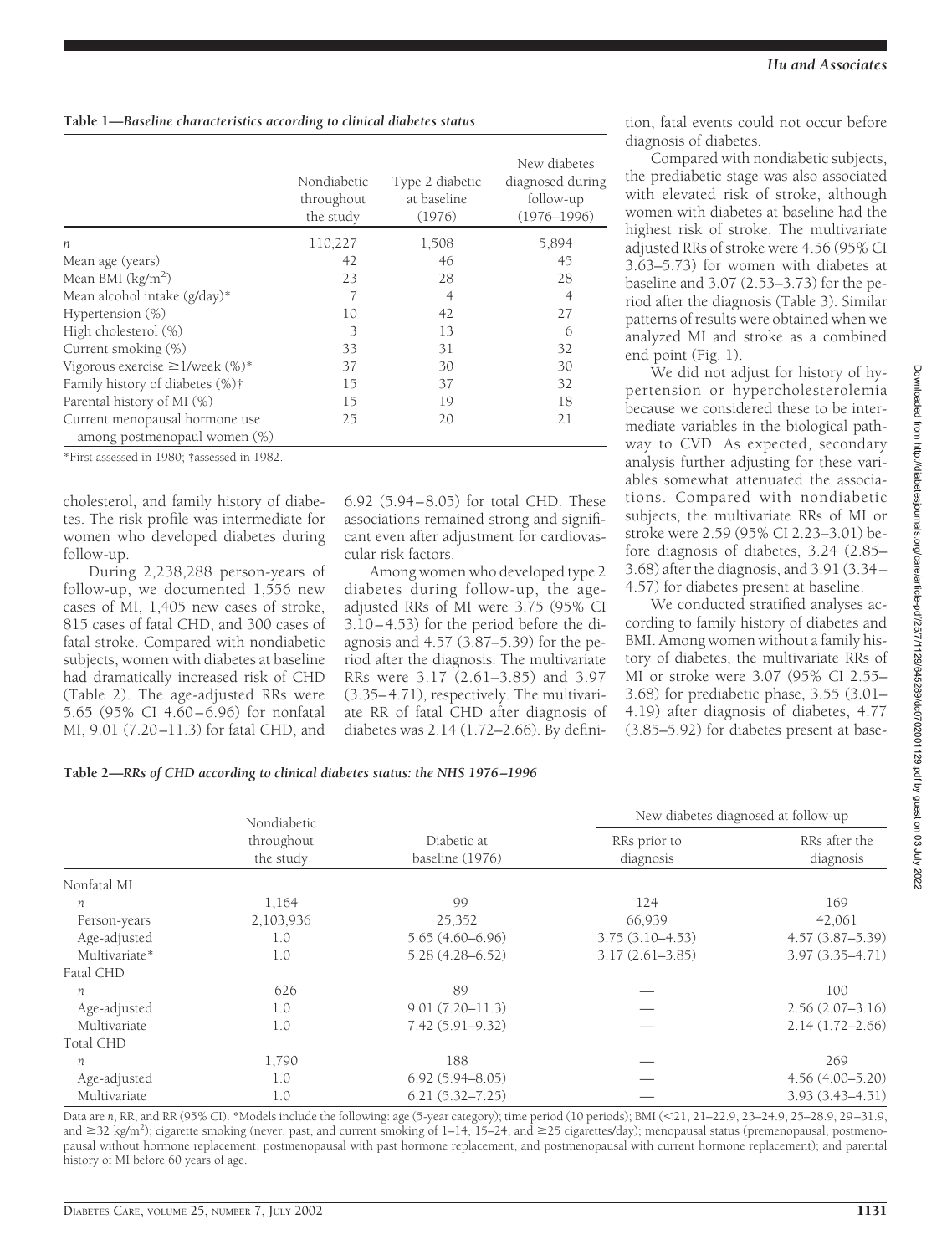## **Table 1—***Baseline characteristics according to clinical diabetes status*

|                                                                | Nondiabetic<br>throughout<br>the study | Type 2 diabetic<br>at baseline<br>(1976) | New diabetes<br>diagnosed during<br>follow-up<br>$(1976 - 1996)$ |
|----------------------------------------------------------------|----------------------------------------|------------------------------------------|------------------------------------------------------------------|
| $\boldsymbol{n}$                                               | 110,227                                | 1,508                                    | 5,894                                                            |
| Mean age (years)                                               | 42                                     | 46                                       | 45                                                               |
| Mean BMI $(kg/m2)$                                             | 23                                     | 28                                       | 28                                                               |
| Mean alcohol intake (g/day)*                                   | 7                                      | $\overline{4}$                           | $\overline{4}$                                                   |
| Hypertension $(\%)$                                            | 10                                     | 42                                       | 27                                                               |
| High cholesterol (%)                                           | 3                                      | 13                                       | 6                                                                |
| Current smoking (%)                                            | 33                                     | 31                                       | 32                                                               |
| Vigorous exercise $\geq$ 1/week (%)*                           | 37                                     | 30                                       | 30                                                               |
| Family history of diabetes (%)†                                | 15                                     | 37                                       | 32                                                               |
| Parental history of MI (%)                                     | 15                                     | 19                                       | 18                                                               |
| Current menopausal hormone use<br>among postmenopaul women (%) | 25                                     | 20                                       | 21                                                               |

\*First assessed in 1980; †assessed in 1982.

cholesterol, and family history of diabetes. The risk profile was intermediate for women who developed diabetes during follow-up.

During 2,238,288 person-years of follow-up, we documented 1,556 new cases of MI, 1,405 new cases of stroke, 815 cases of fatal CHD, and 300 cases of fatal stroke. Compared with nondiabetic subjects, women with diabetes at baseline had dramatically increased risk of CHD (Table 2). The age-adjusted RRs were 5.65 (95% CI 4.60–6.96) for nonfatal MI, 9.01 (7.20–11.3) for fatal CHD, and

6.92 (5.94–8.05) for total CHD. These associations remained strong and significant even after adjustment for cardiovascular risk factors.

Among women who developed type 2 diabetes during follow-up, the ageadjusted RRs of MI were 3.75 (95% CI 3.10–4.53) for the period before the diagnosis and 4.57 (3.87–5.39) for the period after the diagnosis. The multivariate RRs were 3.17 (2.61–3.85) and 3.97 (3.35–4.71), respectively. The multivariate RR of fatal CHD after diagnosis of diabetes was 2.14 (1.72–2.66). By definition, fatal events could not occur before diagnosis of diabetes.

Compared with nondiabetic subjects, the prediabetic stage was also associated with elevated risk of stroke, although women with diabetes at baseline had the highest risk of stroke. The multivariate adjusted RRs of stroke were 4.56 (95% CI 3.63–5.73) for women with diabetes at baseline and 3.07 (2.53–3.73) for the period after the diagnosis (Table 3). Similar patterns of results were obtained when we analyzed MI and stroke as a combined end point (Fig. 1).

We did not adjust for history of hypertension or hypercholesterolemia because we considered these to be intermediate variables in the biological pathway to CVD. As expected, secondary analysis further adjusting for these variables somewhat attenuated the associations. Compared with nondiabetic subjects, the multivariate RRs of MI or stroke were 2.59 (95% CI 2.23–3.01) before diagnosis of diabetes, 3.24 (2.85– 3.68) after the diagnosis, and 3.91 (3.34– 4.57) for diabetes present at baseline.

We conducted stratified analyses according to family history of diabetes and BMI. Among women without a family history of diabetes, the multivariate RRs of MI or stroke were 3.07 (95% CI 2.55– 3.68) for prediabetic phase, 3.55 (3.01– 4.19) after diagnosis of diabetes, 4.77 (3.85–5.92) for diabetes present at base-

|               | Nondiabetic<br>throughout<br>the study | Diabetic at<br>baseline (1976) | New diabetes diagnosed at follow-up |                            |
|---------------|----------------------------------------|--------------------------------|-------------------------------------|----------------------------|
|               |                                        |                                | RRs prior to<br>diagnosis           | RRs after the<br>diagnosis |
| Nonfatal MI   |                                        |                                |                                     |                            |
| n             | 1,164                                  | 99                             | 124                                 | 169                        |
| Person-years  | 2,103,936                              | 25,352                         | 66,939                              | 42,061                     |
| Age-adjusted  | 1.0                                    | $5.65(4.60 - 6.96)$            | $3.75(3.10-4.53)$                   | $4.57(3.87 - 5.39)$        |
| Multivariate* | 1.0                                    | $5.28(4.28 - 6.52)$            | $3.17(2.61 - 3.85)$                 | $3.97(3.35 - 4.71)$        |
| Fatal CHD     |                                        |                                |                                     |                            |
| n             | 626                                    | 89                             |                                     | 100                        |
| Age-adjusted  | 1.0                                    | $9.01(7.20 - 11.3)$            |                                     | $2.56(2.07-3.16)$          |
| Multivariate  | 1.0                                    | $7.42(5.91 - 9.32)$            |                                     | $2.14(1.72 - 2.66)$        |
| Total CHD     |                                        |                                |                                     |                            |
| n             | 1,790                                  | 188                            |                                     | 269                        |
| Age-adjusted  | 1.0                                    | $6.92(5.94 - 8.05)$            |                                     | $4.56(4.00 - 5.20)$        |
| Multivariate  | 1.0                                    | $6.21(5.32 - 7.25)$            |                                     | $3.93(3.43 - 4.51)$        |

Data are *n*, RR, and RR (95% CI). \*Models include the following: age (5-year category); time period (10 periods); BMI (21, 21–22.9, 23–24.9, 25–28.9, 29–31.9, and ≥32 kg/m<sup>2</sup>); cigarette smoking (never, past, and current smoking of 1–14, 15–24, and ≥25 cigarettes/day); menopausal status (premenopausal, postmenopausal without hormone replacement, postmenopausal with past hormone replacement, and postmenopausal with current hormone replacement); and parental history of MI before 60 years of age.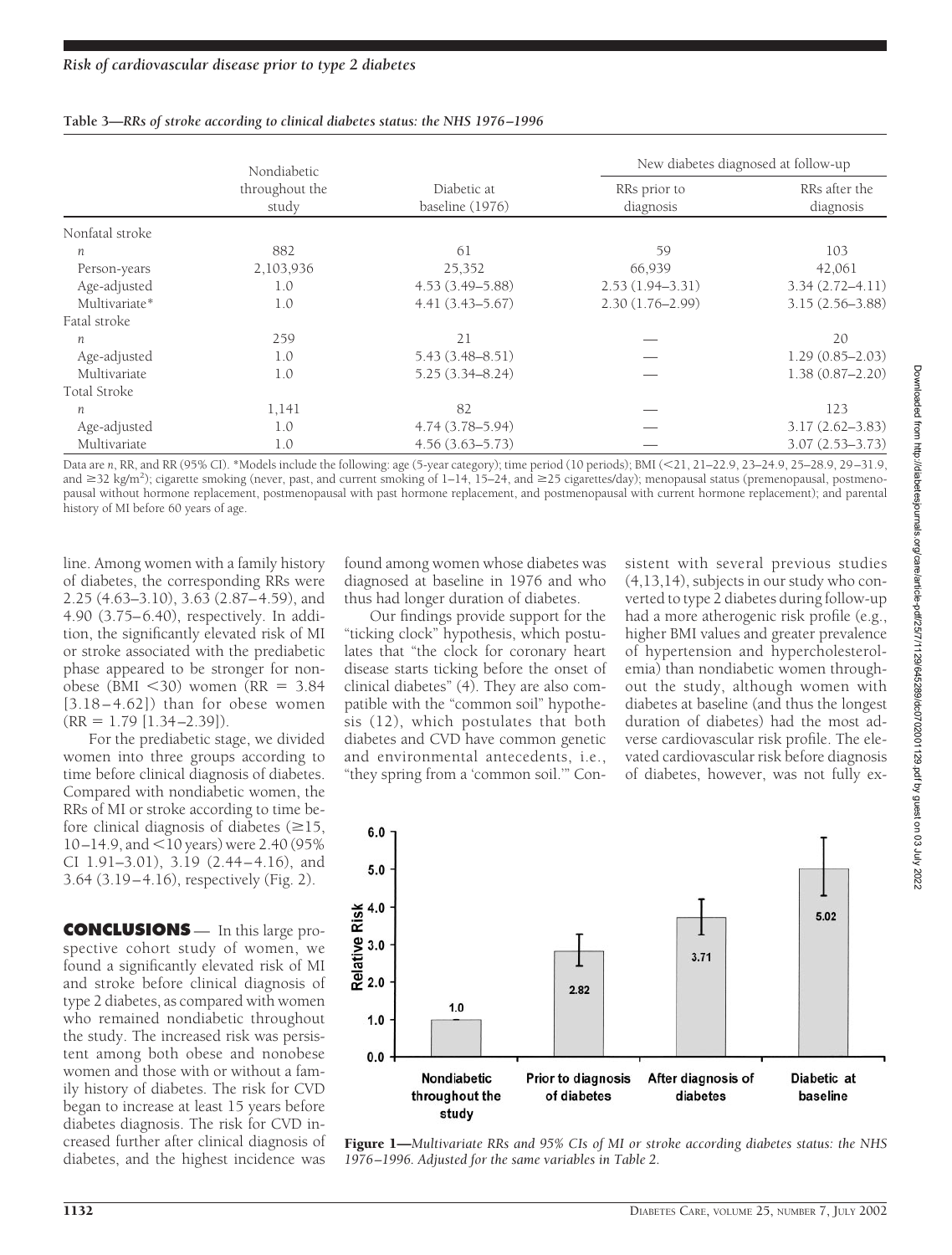|                 | Nondiabetic<br>throughout the<br>study | Diabetic at<br>baseline (1976) | New diabetes diagnosed at follow-up |                            |
|-----------------|----------------------------------------|--------------------------------|-------------------------------------|----------------------------|
|                 |                                        |                                | RRs prior to<br>diagnosis           | RRs after the<br>diagnosis |
| Nonfatal stroke |                                        |                                |                                     |                            |
| n               | 882                                    | 61                             | 59                                  | 103                        |
| Person-years    | 2,103,936                              | 25,352                         | 66,939                              | 42,061                     |
| Age-adjusted    | 1.0                                    | $4.53(3.49 - 5.88)$            | $2.53(1.94 - 3.31)$                 | $3.34(2.72 - 4.11)$        |
| Multivariate*   | 1.0                                    | $4.41(3.43 - 5.67)$            | $2.30(1.76 - 2.99)$                 | $3.15(2.56 - 3.88)$        |
| Fatal stroke    |                                        |                                |                                     |                            |
| n               | 259                                    | 21                             |                                     | 20                         |
| Age-adjusted    | 1.0                                    | $5.43(3.48 - 8.51)$            |                                     | $1.29(0.85 - 2.03)$        |
| Multivariate    | 1.0                                    | $5.25(3.34 - 8.24)$            |                                     | $1.38(0.87 - 2.20)$        |
| Total Stroke    |                                        |                                |                                     |                            |
| п               | 1,141                                  | 82                             |                                     | 123                        |
| Age-adjusted    | 1.0                                    | $4.74(3.78 - 5.94)$            |                                     | $3.17(2.62 - 3.83)$        |
| Multivariate    | 1.0                                    | $4.56(3.63 - 5.73)$            |                                     | $3.07(2.53 - 3.73)$        |

#### **Table 3—***RRs of stroke according to clinical diabetes status: the NHS 1976–1996*

Data are *n*, RR, and RR (95% CI). \*Models include the following: age (5-year category); time period (10 periods); BMI (21, 21–22.9, 23–24.9, 25–28.9, 29–31.9, and ≥32 kg/m<sup>2</sup>); cigarette smoking (never, past, and current smoking of 1–14, 15–24, and ≥25 cigarettes/day); menopausal status (premenopausal, postmenopausal without hormone replacement, postmenopausal with past hormone replacement, and postmenopausal with current hormone replacement); and parental history of MI before 60 years of age.

line. Among women with a family history of diabetes, the corresponding RRs were 2.25 (4.63–3.10), 3.63 (2.87–4.59), and 4.90 (3.75–6.40), respectively. In addition, the significantly elevated risk of MI or stroke associated with the prediabetic phase appeared to be stronger for nonobese (BMI  $<$ 30) women (RR = 3.84  $[3.18 - 4.62]$  than for obese women  $(RR = 1.79$  [1.34–2.39]).

For the prediabetic stage, we divided women into three groups according to time before clinical diagnosis of diabetes. Compared with nondiabetic women, the RRs of MI or stroke according to time before clinical diagnosis of diabetes  $(\geq 15,$  $10-14.9$ , and  $\leq 10$  years) were 2.40 (95%) CI 1.91–3.01), 3.19 (2.44 – 4.16), and 3.64 (3.19–4.16), respectively (Fig. 2).

**CONCLUSIONS** — In this large prospective cohort study of women, we found a significantly elevated risk of MI and stroke before clinical diagnosis of type 2 diabetes, as compared with women who remained nondiabetic throughout the study. The increased risk was persistent among both obese and nonobese women and those with or without a family history of diabetes. The risk for CVD began to increase at least 15 years before diabetes diagnosis. The risk for CVD increased further after clinical diagnosis of diabetes, and the highest incidence was

found among women whose diabetes was diagnosed at baseline in 1976 and who thus had longer duration of diabetes.

Our findings provide support for the "ticking clock" hypothesis, which postulates that "the clock for coronary heart disease starts ticking before the onset of clinical diabetes" (4). They are also compatible with the "common soil" hypothesis (12), which postulates that both diabetes and CVD have common genetic and environmental antecedents, i.e., "they spring from a 'common soil.'" Consistent with several previous studies (4,13,14), subjects in our study who converted to type 2 diabetes during follow-up had a more atherogenic risk profile (e.g., higher BMI values and greater prevalence of hypertension and hypercholesterolemia) than nondiabetic women throughout the study, although women with diabetes at baseline (and thus the longest duration of diabetes) had the most adverse cardiovascular risk profile. The elevated cardiovascular risk before diagnosis of diabetes, however, was not fully ex-



Figure 1—*Multivariate RRs and 95% CIs of MI or stroke according diabetes status: the NHS 1976–1996. Adjusted for the same variables in Table 2.*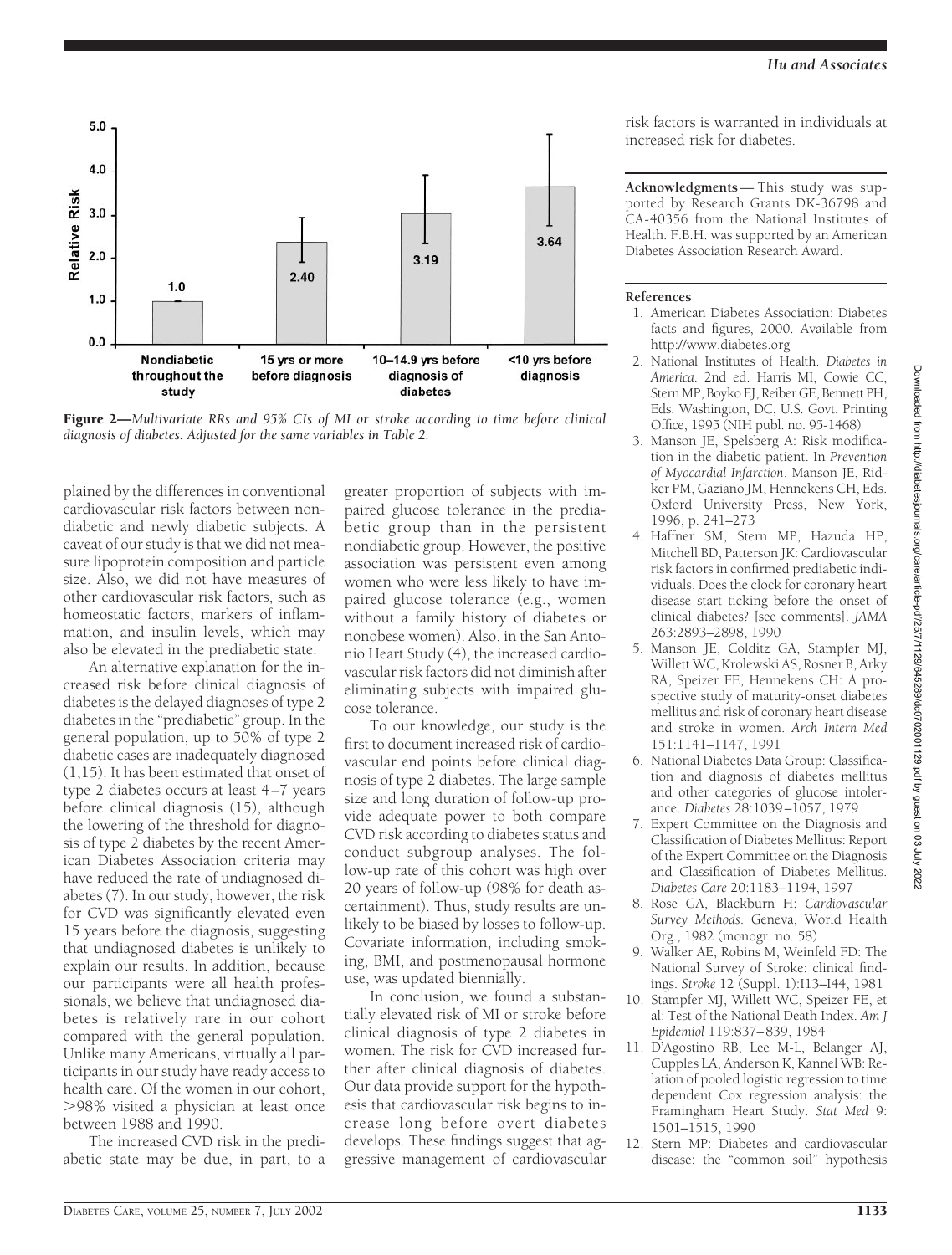

Figure 2—*Multivariate RRs and 95% CIs of MI or stroke according to time before clinical diagnosis of diabetes. Adjusted for the same variables in Table 2.*

plained by the differences in conventional cardiovascular risk factors between nondiabetic and newly diabetic subjects. A caveat of our study is that we did not measure lipoprotein composition and particle size. Also, we did not have measures of other cardiovascular risk factors, such as homeostatic factors, markers of inflammation, and insulin levels, which may also be elevated in the prediabetic state.

An alternative explanation for the increased risk before clinical diagnosis of diabetes is the delayed diagnoses of type 2 diabetes in the "prediabetic" group. In the general population, up to 50% of type 2 diabetic cases are inadequately diagnosed (1,15). It has been estimated that onset of type 2 diabetes occurs at least 4–7 years before clinical diagnosis (15), although the lowering of the threshold for diagnosis of type 2 diabetes by the recent American Diabetes Association criteria may have reduced the rate of undiagnosed diabetes (7). In our study, however, the risk for CVD was significantly elevated even 15 years before the diagnosis, suggesting that undiagnosed diabetes is unlikely to explain our results. In addition, because our participants were all health professionals, we believe that undiagnosed diabetes is relatively rare in our cohort compared with the general population. Unlike many Americans, virtually all participants in our study have ready access to health care. Of the women in our cohort, -98% visited a physician at least once between 1988 and 1990.

The increased CVD risk in the prediabetic state may be due, in part, to a

greater proportion of subjects with impaired glucose tolerance in the prediabetic group than in the persistent nondiabetic group. However, the positive association was persistent even among women who were less likely to have impaired glucose tolerance (e.g., women without a family history of diabetes or nonobese women). Also, in the San Antonio Heart Study (4), the increased cardiovascular risk factors did not diminish after eliminating subjects with impaired glucose tolerance.

To our knowledge, our study is the first to document increased risk of cardiovascular end points before clinical diagnosis of type 2 diabetes. The large sample size and long duration of follow-up provide adequate power to both compare CVD risk according to diabetes status and conduct subgroup analyses. The follow-up rate of this cohort was high over 20 years of follow-up (98% for death ascertainment). Thus, study results are unlikely to be biased by losses to follow-up. Covariate information, including smoking, BMI, and postmenopausal hormone use, was updated biennially.

In conclusion, we found a substantially elevated risk of MI or stroke before clinical diagnosis of type 2 diabetes in women. The risk for CVD increased further after clinical diagnosis of diabetes. Our data provide support for the hypothesis that cardiovascular risk begins to increase long before overt diabetes develops. These findings suggest that aggressive management of cardiovascular risk factors is warranted in individuals at increased risk for diabetes.

**Acknowledgments**— This study was supported by Research Grants DK-36798 and CA-40356 from the National Institutes of Health. F.B.H. was supported by an American Diabetes Association Research Award.

#### **References**

- 1. American Diabetes Association: Diabetes facts and figures, 2000. Available from http://www.diabetes.org
- 2. National Institutes of Health. *Diabetes in America*. 2nd ed. Harris MI, Cowie CC, Stern MP, Boyko EJ, Reiber GE, Bennett PH, Eds. Washington, DC, U.S. Govt. Printing Office, 1995 (NIH publ. no. 95-1468)
- 3. Manson JE, Spelsberg A: Risk modification in the diabetic patient. In *Prevention of Myocardial Infarction*. Manson JE, Ridker PM, Gaziano JM, Hennekens CH, Eds. Oxford University Press, New York, 1996, p. 241–273
- 4. Haffner SM, Stern MP, Hazuda HP, Mitchell BD, Patterson JK: Cardiovascular risk factors in confirmed prediabetic individuals. Does the clock for coronary heart disease start ticking before the onset of clinical diabetes? [see comments]. *JAMA* 263:2893–2898, 1990
- 5. Manson JE, Colditz GA, Stampfer MJ, Willett WC, Krolewski AS, Rosner B, Arky RA, Speizer FE, Hennekens CH: A prospective study of maturity-onset diabetes mellitus and risk of coronary heart disease and stroke in women. *Arch Intern Med* 151:1141–1147, 1991
- 6. National Diabetes Data Group: Classification and diagnosis of diabetes mellitus and other categories of glucose intolerance. *Diabetes* 28:1039–1057, 1979
- 7. Expert Committee on the Diagnosis and Classification of Diabetes Mellitus: Report of the Expert Committee on the Diagnosis and Classification of Diabetes Mellitus. *Diabetes Care* 20:1183–1194, 1997
- 8. Rose GA, Blackburn H: *Cardiovascular Survey Methods*. Geneva, World Health Org., 1982 (monogr. no. 58)
- 9. Walker AE, Robins M, Weinfeld FD: The National Survey of Stroke: clinical findings. *Stroke* 12 (Suppl. 1):I13–I44, 1981
- 10. Stampfer MJ, Willett WC, Speizer FE, et al: Test of the National Death Index. *Am J Epidemiol* 119:837–839, 1984
- 11. D'Agostino RB, Lee M-L, Belanger AJ, Cupples LA, Anderson K, Kannel WB: Relation of pooled logistic regression to time dependent Cox regression analysis: the Framingham Heart Study. *Stat Med* 9: 1501–1515, 1990
- 12. Stern MP: Diabetes and cardiovascular disease: the "common soil" hypothesis